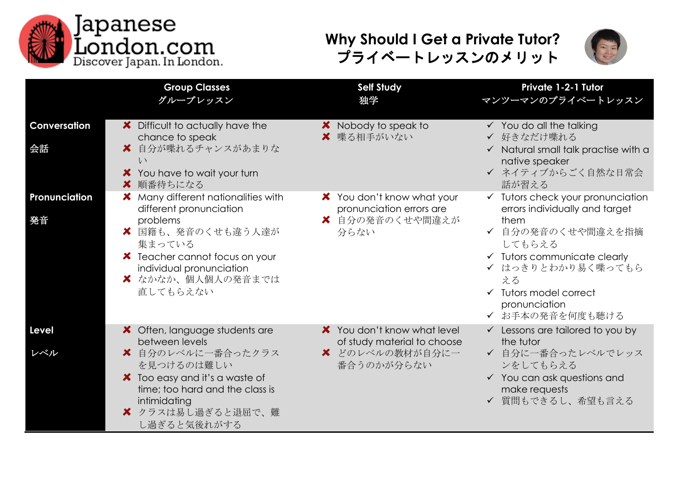

## **Why Should I Get a Private Tutor?** プライベートレッスンのメリット



|                     | <b>Group Classes</b><br>グループレッスン                                                       | <b>Self Study</b><br>独学                                                   | <b>Private 1-2-1 Tutor</b><br>マンツーマンのプライベートレッスン                                        |
|---------------------|----------------------------------------------------------------------------------------|---------------------------------------------------------------------------|----------------------------------------------------------------------------------------|
| Conversation        | X Difficult to actually have the<br>chance to speak                                    | X Nobody to speak to<br>★ 喋る相手がいない                                        | $\checkmark$ You do all the talking<br>✔ 好きなだけ喋れる                                      |
| 会話                  | 自分が喋れるチャンスがあまりな<br>x.<br>$\iota$                                                       |                                                                           | $\checkmark$ Natural small talk practise with a<br>native speaker                      |
|                     | You have to wait your turn<br>■ 順番待ちになる                                                |                                                                           | ✔ ネイティブからごく自然な日常会<br>話が習える                                                             |
| Pronunciation<br>発音 | Many different nationalities with<br>different pronunciation<br>problems               | X You don't know what your<br>pronunciation errors are<br>★ 自分の発音のくせや間違えが | $\checkmark$ Tutors check your pronunciation<br>errors individually and target<br>them |
|                     | ★ 国籍も、発音のくせも違う人達が<br>集まっている                                                            | 分らない                                                                      | ✔ 自分の発音のくせや間違えを指摘<br>してもらえる                                                            |
|                     | <b>X</b> Teacher cannot focus on your<br>individual pronunciation<br>■ なかなか、個人個人の発音までは |                                                                           | $\checkmark$ Tutors communicate clearly<br>✔ はっきりとわかり易く喋ってもら<br>える                     |
|                     | 直してもらえない                                                                               |                                                                           | $\checkmark$ Tutors model correct<br>pronunciation<br>✔ お手本の発音を何度も聴ける                  |
| <b>Level</b>        | X Often, language students are<br>between levels                                       | X You don't know what level<br>of study material to choose                | $\checkmark$ Lessons are tailored to you by<br>the tutor                               |
| レベル                 | ■ 自分のレベルに一番合ったクラス<br>を見つけるのは難しい                                                        | ■ どのレベルの教材が自分に一<br>番合うのかが分らない                                             | ✔ 自分に一番合ったレベルでレッス<br>ンをしてもらえる                                                          |
|                     | X Too easy and it's a waste of<br>time; too hard and the class is<br>intimidating      |                                                                           | $\checkmark$ You can ask questions and<br>make requests<br>✔ 質問もできるし、希望も言える            |
|                     | ■ クラスは易し過ぎると退屈で、難<br>し過ぎると気後れがする                                                       |                                                                           |                                                                                        |